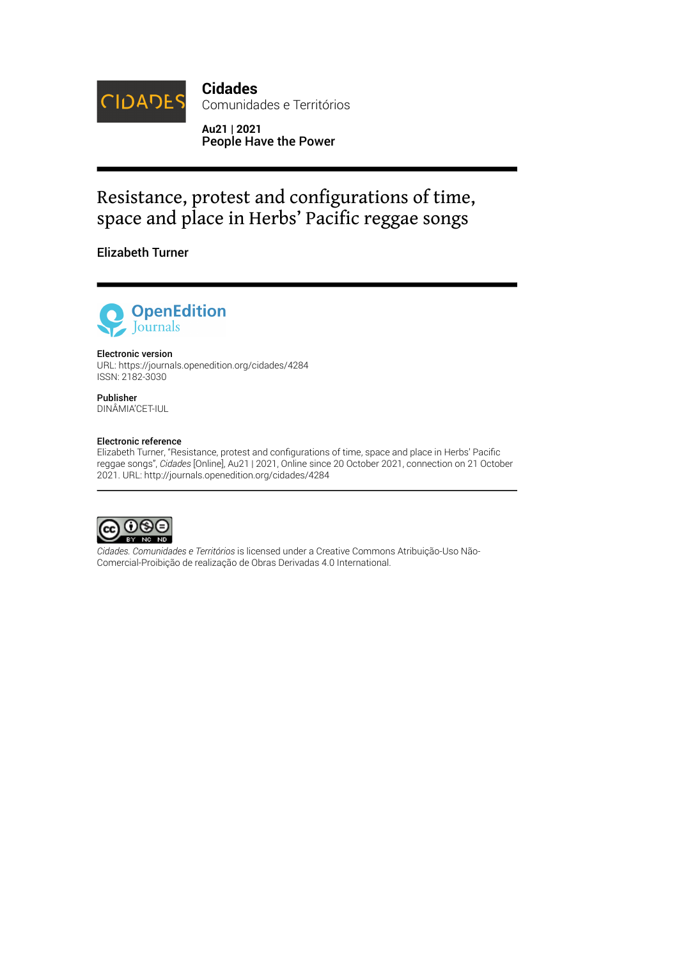

**Cidades** Comunidades e Territórios

**Au21 | 2021** People Have the Power

# Resistance, protest and configurations of time, space and place in Herbs' Pacific reggae songs

Elizabeth Turner



#### Electronic version

URL:<https://journals.openedition.org/cidades/4284> ISSN: 2182-3030

#### Publisher DINÂMIA'CET-IUL

#### Electronic reference

Elizabeth Turner, "Resistance, protest and configurations of time, space and place in Herbs' Pacific reggae songs", *Cidades* [Online], Au21 | 2021, Online since 20 October 2021, connection on 21 October 2021. URL: http://journals.openedition.org/cidades/4284



*Cidades. Comunidades e Territórios* is licensed under a [Creative Commons Atribuição-Uso Não-](https://creativecommons.org/licenses/by-nc-nd/4.0/)[Comercial-Proibição de realização de Obras Derivadas 4.0 International](https://creativecommons.org/licenses/by-nc-nd/4.0/).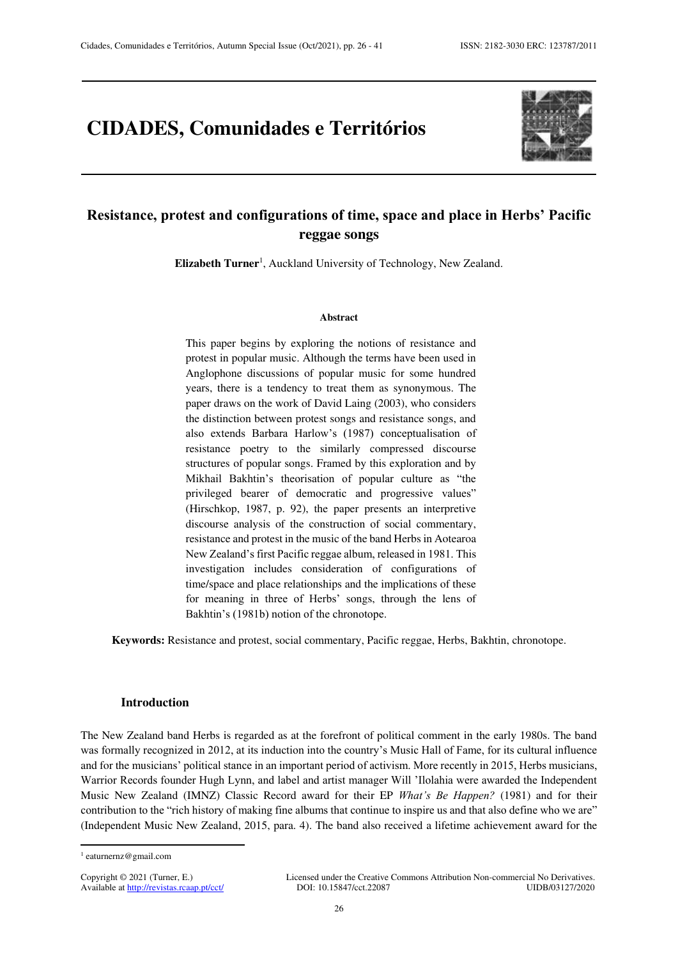## **CIDADES, Comunidades e Territórios**



## **Resistance, protest and configurations of time, space and place in Herbs' Pacific reggae songs**

Elizabeth Turner<sup>1</sup>, Auckland University of Technology, New Zealand.

#### **Abstract**

This paper begins by exploring the notions of resistance and protest in popular music. Although the terms have been used in Anglophone discussions of popular music for some hundred years, there is a tendency to treat them as synonymous. The paper draws on the work of David Laing (2003), who considers the distinction between protest songs and resistance songs, and also extends Barbara Harlow's (1987) conceptualisation of resistance poetry to the similarly compressed discourse structures of popular songs. Framed by this exploration and by Mikhail Bakhtin's theorisation of popular culture as "the privileged bearer of democratic and progressive values" (Hirschkop, 1987, p. 92), the paper presents an interpretive discourse analysis of the construction of social commentary, resistance and protest in the music of the band Herbs in Aotearoa New Zealand's first Pacific reggae album, released in 1981. This investigation includes consideration of configurations of time/space and place relationships and the implications of these for meaning in three of Herbs' songs, through the lens of Bakhtin's (1981b) notion of the chronotope.

**Keywords:** Resistance and protest, social commentary, Pacific reggae, Herbs, Bakhtin, chronotope.

#### **Introduction**

The New Zealand band Herbs is regarded as at the forefront of political comment in the early 1980s. The band was formally recognized in 2012, at its induction into the country's Music Hall of Fame, for its cultural influence and for the musicians' political stance in an important period of activism. More recently in 2015, Herbs musicians, Warrior Records founder Hugh Lynn, and label and artist manager Will 'Ilolahia were awarded the Independent Music New Zealand (IMNZ) Classic Record award for their EP *What's Be Happen?* (1981) and for their contribution to the "rich history of making fine albums that continue to inspire us and that also define who we are" (Independent Music New Zealand, 2015, para. 4). The band also received a lifetime achievement award for the

 $\overline{a}$ 

<sup>1</sup> eaturnernz@gmail.com

Available at http://revistas.rcaap.pt/cct/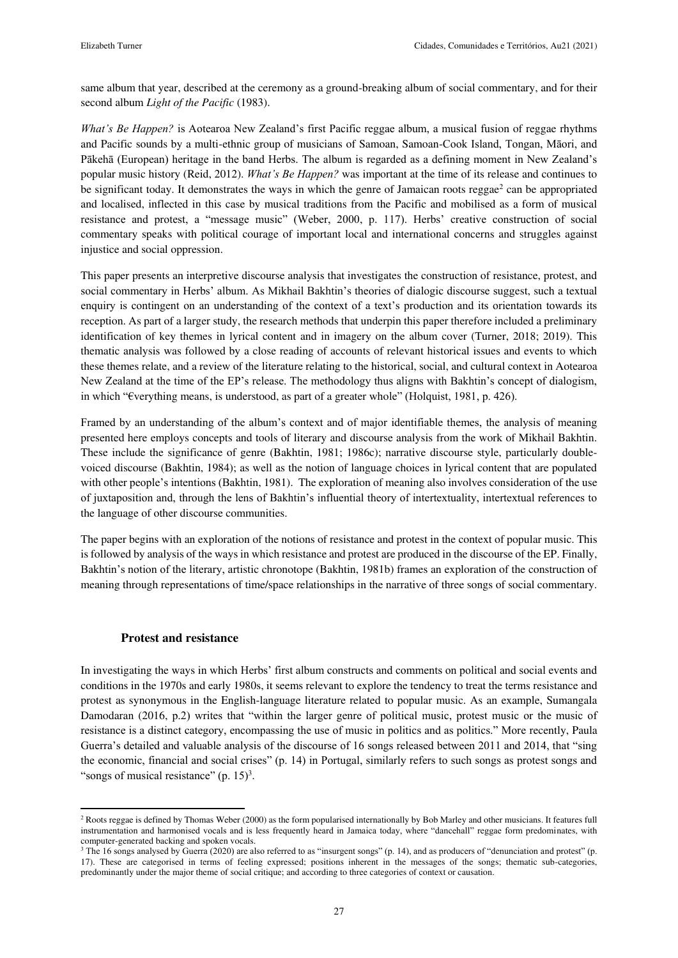same album that year, described at the ceremony as a ground-breaking album of social commentary, and for their second album *Light of the Pacific* (1983).

*What's Be Happen?* is Aotearoa New Zealand's first Pacific reggae album, a musical fusion of reggae rhythms and Pacific sounds by a multi-ethnic group of musicians of Samoan, Samoan-Cook Island, Tongan, Māori, and Pākehā (European) heritage in the band Herbs. The album is regarded as a defining moment in New Zealand's popular music history (Reid, 2012). *What's Be Happen?* was important at the time of its release and continues to be significant today. It demonstrates the ways in which the genre of Jamaican roots reggae<sup>2</sup> can be appropriated and localised, inflected in this case by musical traditions from the Pacific and mobilised as a form of musical resistance and protest, a "message music" (Weber, 2000, p. 117). Herbs' creative construction of social commentary speaks with political courage of important local and international concerns and struggles against injustice and social oppression.

This paper presents an interpretive discourse analysis that investigates the construction of resistance, protest, and social commentary in Herbs' album. As Mikhail Bakhtin's theories of dialogic discourse suggest, such a textual enquiry is contingent on an understanding of the context of a text's production and its orientation towards its reception. As part of a larger study, the research methods that underpin this paper therefore included a preliminary identification of key themes in lyrical content and in imagery on the album cover (Turner, 2018; 2019). This thematic analysis was followed by a close reading of accounts of relevant historical issues and events to which these themes relate, and a review of the literature relating to the historical, social, and cultural context in Aotearoa New Zealand at the time of the EP's release. The methodology thus aligns with Bakhtin's concept of dialogism, in which "€verything means, is understood, as part of a greater whole" (Holquist, 1981, p. 426).

Framed by an understanding of the album's context and of major identifiable themes, the analysis of meaning presented here employs concepts and tools of literary and discourse analysis from the work of Mikhail Bakhtin. These include the significance of genre (Bakhtin, 1981; 1986c); narrative discourse style, particularly doublevoiced discourse (Bakhtin, 1984); as well as the notion of language choices in lyrical content that are populated with other people's intentions (Bakhtin, 1981). The exploration of meaning also involves consideration of the use of juxtaposition and, through the lens of Bakhtin's influential theory of intertextuality, intertextual references to the language of other discourse communities.

The paper begins with an exploration of the notions of resistance and protest in the context of popular music. This is followed by analysis of the ways in which resistance and protest are produced in the discourse of the EP. Finally, Bakhtin's notion of the literary, artistic chronotope (Bakhtin, 1981b) frames an exploration of the construction of meaning through representations of time/space relationships in the narrative of three songs of social commentary.

### **Protest and resistance**

 $\overline{a}$ 

In investigating the ways in which Herbs' first album constructs and comments on political and social events and conditions in the 1970s and early 1980s, it seems relevant to explore the tendency to treat the terms resistance and protest as synonymous in the English-language literature related to popular music. As an example, Sumangala Damodaran (2016, p.2) writes that "within the larger genre of political music, protest music or the music of resistance is a distinct category, encompassing the use of music in politics and as politics." More recently, Paula Guerra's detailed and valuable analysis of the discourse of 16 songs released between 2011 and 2014, that "sing the economic, financial and social crises" (p. 14) in Portugal, similarly refers to such songs as protest songs and "songs of musical resistance"  $(p. 15)^3$ .

<sup>&</sup>lt;sup>2</sup> Roots reggae is defined by Thomas Weber (2000) as the form popularised internationally by Bob Marley and other musicians. It features full instrumentation and harmonised vocals and is less frequently heard in Jamaica today, where "dancehall" reggae form predominates, with computer-generated backing and spoken vocals.

<sup>&</sup>lt;sup>3</sup> The 16 songs analysed by Guerra (2020) are also referred to as "insurgent songs" (p. 14), and as producers of "denunciation and protest" (p. 17). These are categorised in terms of feeling expressed; positions inherent in the messages of the songs; thematic sub-categories, predominantly under the major theme of social critique; and according to three categories of context or causation.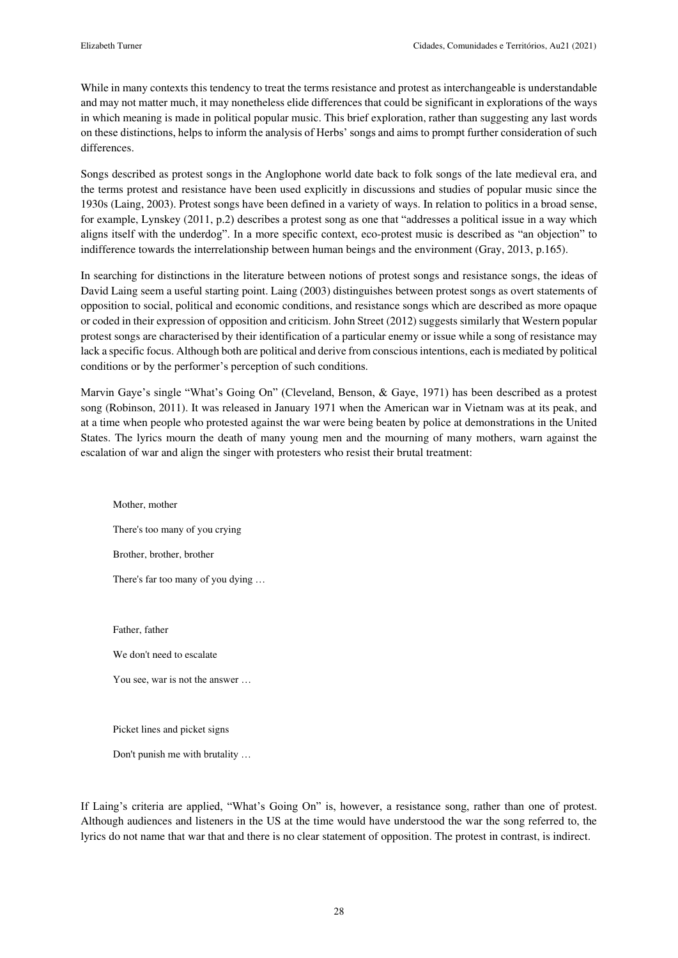While in many contexts this tendency to treat the terms resistance and protest as interchangeable is understandable and may not matter much, it may nonetheless elide differences that could be significant in explorations of the ways in which meaning is made in political popular music. This brief exploration, rather than suggesting any last words on these distinctions, helps to inform the analysis of Herbs' songs and aims to prompt further consideration of such differences.

Songs described as protest songs in the Anglophone world date back to folk songs of the late medieval era, and the terms protest and resistance have been used explicitly in discussions and studies of popular music since the 1930s (Laing, 2003). Protest songs have been defined in a variety of ways. In relation to politics in a broad sense, for example, Lynskey (2011, p.2) describes a protest song as one that "addresses a political issue in a way which aligns itself with the underdog". In a more specific context, eco-protest music is described as "an objection" to indifference towards the interrelationship between human beings and the environment (Gray, 2013, p.165).

In searching for distinctions in the literature between notions of protest songs and resistance songs, the ideas of David Laing seem a useful starting point. Laing (2003) distinguishes between protest songs as overt statements of opposition to social, political and economic conditions, and resistance songs which are described as more opaque or coded in their expression of opposition and criticism. John Street (2012) suggests similarly that Western popular protest songs are characterised by their identification of a particular enemy or issue while a song of resistance may lack a specific focus. Although both are political and derive from conscious intentions, each is mediated by political conditions or by the performer's perception of such conditions.

Marvin Gaye's single "What's Going On" (Cleveland, Benson, & Gaye, 1971) has been described as a protest song (Robinson, 2011). It was released in January 1971 when the American war in Vietnam was at its peak, and at a time when people who protested against the war were being beaten by police at demonstrations in the United States. The lyrics mourn the death of many young men and the mourning of many mothers, warn against the escalation of war and align the singer with protesters who resist their brutal treatment:

Mother, mother There's too many of you crying Brother, brother, brother There's far too many of you dying …

Father, father

We don't need to escalate

You see, war is not the answer …

Picket lines and picket signs

Don't punish me with brutality …

If Laing's criteria are applied, "What's Going On" is, however, a resistance song, rather than one of protest. Although audiences and listeners in the US at the time would have understood the war the song referred to, the lyrics do not name that war that and there is no clear statement of opposition. The protest in contrast, is indirect.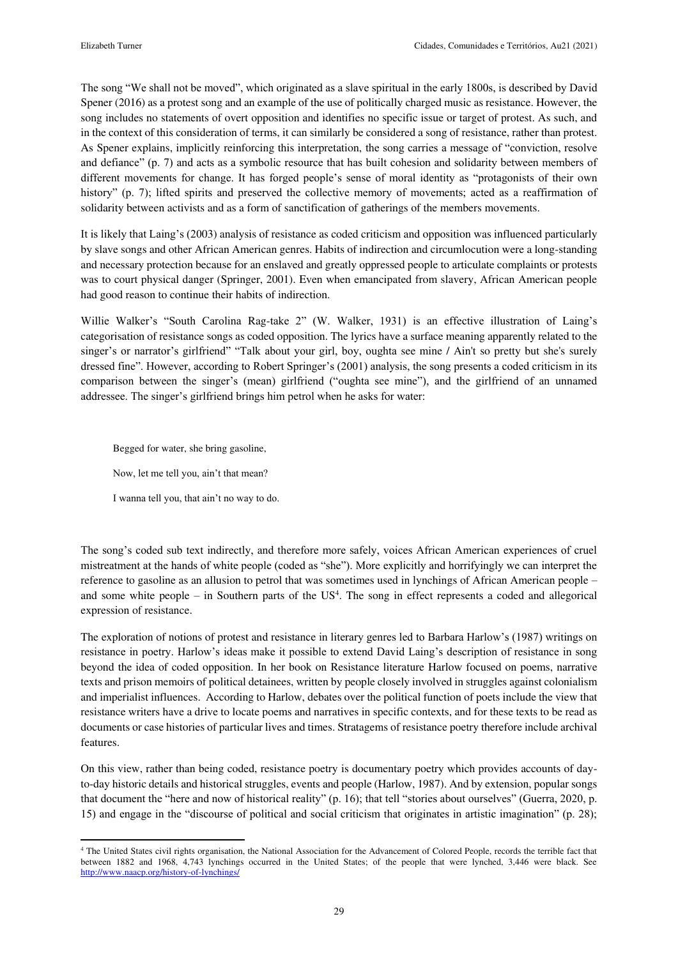The song "We shall not be moved", which originated as a slave spiritual in the early 1800s, is described by David Spener (2016) as a protest song and an example of the use of politically charged music as resistance. However, the song includes no statements of overt opposition and identifies no specific issue or target of protest. As such, and in the context of this consideration of terms, it can similarly be considered a song of resistance, rather than protest. As Spener explains, implicitly reinforcing this interpretation, the song carries a message of "conviction, resolve and defiance" (p. 7) and acts as a symbolic resource that has built cohesion and solidarity between members of different movements for change. It has forged people's sense of moral identity as "protagonists of their own history" (p. 7); lifted spirits and preserved the collective memory of movements; acted as a reaffirmation of solidarity between activists and as a form of sanctification of gatherings of the members movements.

It is likely that Laing's (2003) analysis of resistance as coded criticism and opposition was influenced particularly by slave songs and other African American genres. Habits of indirection and circumlocution were a long-standing and necessary protection because for an enslaved and greatly oppressed people to articulate complaints or protests was to court physical danger (Springer, 2001). Even when emancipated from slavery, African American people had good reason to continue their habits of indirection.

Willie Walker's "South Carolina Rag-take 2" (W. Walker, 1931) is an effective illustration of Laing's categorisation of resistance songs as coded opposition. The lyrics have a surface meaning apparently related to the singer's or narrator's girlfriend" "Talk about your girl, boy, oughta see mine / Ain't so pretty but she's surely dressed fine". However, according to Robert Springer's (2001) analysis, the song presents a coded criticism in its comparison between the singer's (mean) girlfriend ("oughta see mine"), and the girlfriend of an unnamed addressee. The singer's girlfriend brings him petrol when he asks for water:

Begged for water, she bring gasoline,

Now, let me tell you, ain't that mean?

I wanna tell you, that ain't no way to do.

 $\overline{a}$ 

The song's coded sub text indirectly, and therefore more safely, voices African American experiences of cruel mistreatment at the hands of white people (coded as "she"). More explicitly and horrifyingly we can interpret the reference to gasoline as an allusion to petrol that was sometimes used in lynchings of African American people – and some white people – in Southern parts of the US<sup>4</sup>. The song in effect represents a coded and allegorical expression of resistance.

The exploration of notions of protest and resistance in literary genres led to Barbara Harlow's (1987) writings on resistance in poetry. Harlow's ideas make it possible to extend David Laing's description of resistance in song beyond the idea of coded opposition. In her book on Resistance literature Harlow focused on poems, narrative texts and prison memoirs of political detainees, written by people closely involved in struggles against colonialism and imperialist influences. According to Harlow, debates over the political function of poets include the view that resistance writers have a drive to locate poems and narratives in specific contexts, and for these texts to be read as documents or case histories of particular lives and times. Stratagems of resistance poetry therefore include archival features.

On this view, rather than being coded, resistance poetry is documentary poetry which provides accounts of dayto-day historic details and historical struggles, events and people (Harlow, 1987). And by extension, popular songs that document the "here and now of historical reality" (p. 16); that tell "stories about ourselves" (Guerra, 2020, p. 15) and engage in the "discourse of political and social criticism that originates in artistic imagination" (p. 28);

<sup>4</sup> The United States civil rights organisation, the National Association for the Advancement of Colored People, records the terrible fact that between 1882 and 1968, 4,743 lynchings occurred in the United States; of the people that were lynched, 3,446 were black. See <http://www.naacp.org/history-of-lynchings/>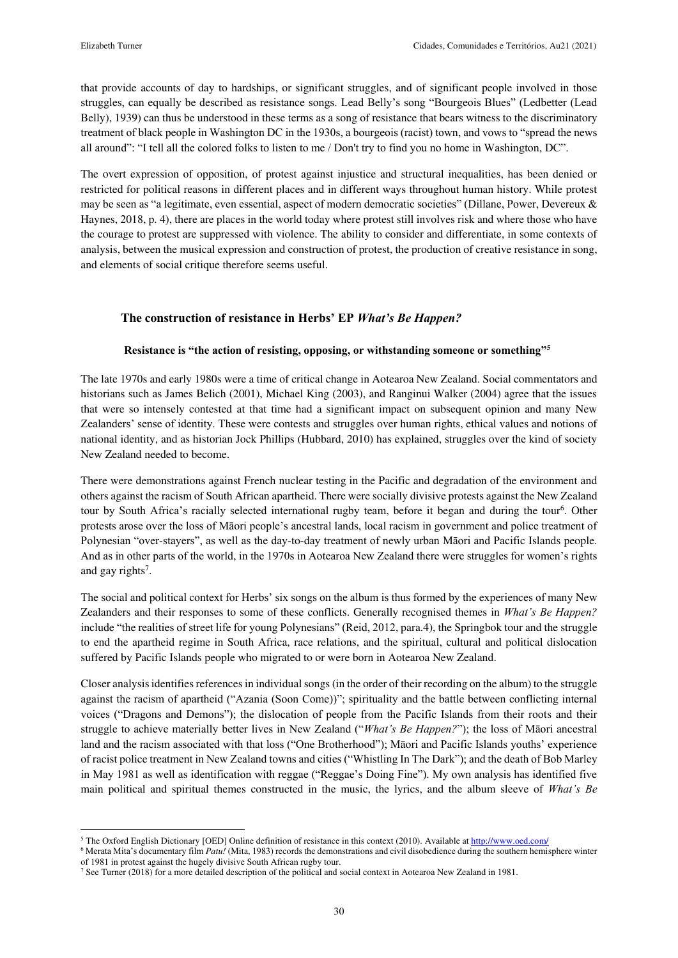$\overline{a}$ 

that provide accounts of day to hardships, or significant struggles, and of significant people involved in those struggles, can equally be described as resistance songs. Lead Belly's song "Bourgeois Blues" (Ledbetter (Lead Belly), 1939) can thus be understood in these terms as a song of resistance that bears witness to the discriminatory treatment of black people in Washington DC in the 1930s, a bourgeois (racist) town, and vows to "spread the news all around": "I tell all the colored folks to listen to me / Don't try to find you no home in Washington, DC".

The overt expression of opposition, of protest against injustice and structural inequalities, has been denied or restricted for political reasons in different places and in different ways throughout human history. While protest may be seen as "a legitimate, even essential, aspect of modern democratic societies" (Dillane, Power, Devereux & Haynes, 2018, p. 4), there are places in the world today where protest still involves risk and where those who have the courage to protest are suppressed with violence. The ability to consider and differentiate, in some contexts of analysis, between the musical expression and construction of protest, the production of creative resistance in song, and elements of social critique therefore seems useful.

## **The construction of resistance in Herbs' EP** *What's Be Happen?*

## **Resistance is "the action of resisting, opposing, or withstanding someone or something"<sup>5</sup>**

The late 1970s and early 1980s were a time of critical change in Aotearoa New Zealand. Social commentators and historians such as James Belich (2001), Michael King (2003), and Ranginui Walker (2004) agree that the issues that were so intensely contested at that time had a significant impact on subsequent opinion and many New Zealanders' sense of identity. These were contests and struggles over human rights, ethical values and notions of national identity, and as historian Jock Phillips (Hubbard, 2010) has explained, struggles over the kind of society New Zealand needed to become.

There were demonstrations against French nuclear testing in the Pacific and degradation of the environment and others against the racism of South African apartheid. There were socially divisive protests against the New Zealand tour by South Africa's racially selected international rugby team, before it began and during the tour<sup>6</sup>. Other protests arose over the loss of Māori people's ancestral lands, local racism in government and police treatment of Polynesian "over-stayers", as well as the day-to-day treatment of newly urban Māori and Pacific Islands people. And as in other parts of the world, in the 1970s in Aotearoa New Zealand there were struggles for women's rights and gay rights<sup>7</sup>.

The social and political context for Herbs' six songs on the album is thus formed by the experiences of many New Zealanders and their responses to some of these conflicts. Generally recognised themes in *What's Be Happen?* include "the realities of street life for young Polynesians" (Reid, 2012, para.4), the Springbok tour and the struggle to end the apartheid regime in South Africa, race relations, and the spiritual, cultural and political dislocation suffered by Pacific Islands people who migrated to or were born in Aotearoa New Zealand.

Closer analysis identifies references in individual songs (in the order of their recording on the album) to the struggle against the racism of apartheid ("Azania (Soon Come))"; spirituality and the battle between conflicting internal voices ("Dragons and Demons"); the dislocation of people from the Pacific Islands from their roots and their struggle to achieve materially better lives in New Zealand ("*What's Be Happen?*"); the loss of Māori ancestral land and the racism associated with that loss ("One Brotherhood"); Māori and Pacific Islands youths' experience of racist police treatment in New Zealand towns and cities ("Whistling In The Dark"); and the death of Bob Marley in May 1981 as well as identification with reggae ("Reggae's Doing Fine"). My own analysis has identified five main political and spiritual themes constructed in the music, the lyrics, and the album sleeve of *What's Be* 

<sup>&</sup>lt;sup>5</sup> The Oxford English Dictionary [OED] Online definition of resistance in this context (2010). Available at<http://www.oed.com/>

<sup>6</sup> Merata Mita's documentary film *Patu!* (Mita, 1983) records the demonstrations and civil disobedience during the southern hemisphere winter of 1981 in protest against the hugely divisive South African rugby tour.

<sup>&</sup>lt;sup>7</sup> See Turner (2018) for a more detailed description of the political and social context in Aotearoa New Zealand in 1981.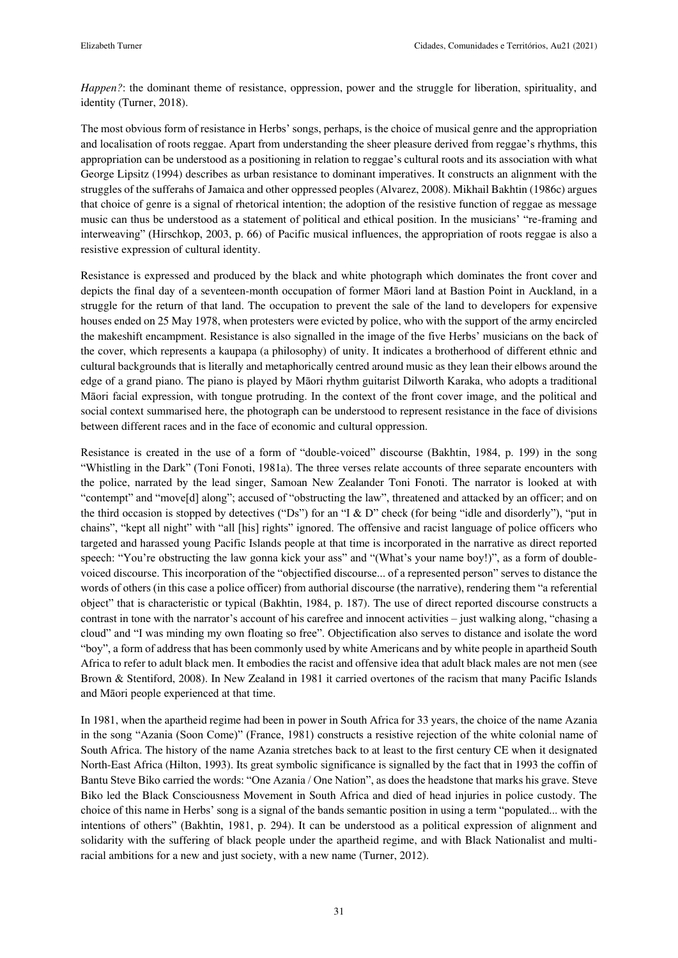*Happen?*: the dominant theme of resistance, oppression, power and the struggle for liberation, spirituality, and identity (Turner, 2018).

The most obvious form of resistance in Herbs' songs, perhaps, is the choice of musical genre and the appropriation and localisation of roots reggae. Apart from understanding the sheer pleasure derived from reggae's rhythms, this appropriation can be understood as a positioning in relation to reggae's cultural roots and its association with what George Lipsitz (1994) describes as urban resistance to dominant imperatives. It constructs an alignment with the struggles of the sufferahs of Jamaica and other oppressed peoples (Alvarez, 2008). Mikhail Bakhtin (1986c) argues that choice of genre is a signal of rhetorical intention; the adoption of the resistive function of reggae as message music can thus be understood as a statement of political and ethical position. In the musicians' "re-framing and interweaving" (Hirschkop, 2003, p. 66) of Pacific musical influences, the appropriation of roots reggae is also a resistive expression of cultural identity.

Resistance is expressed and produced by the black and white photograph which dominates the front cover and depicts the final day of a seventeen-month occupation of former Māori land at Bastion Point in Auckland, in a struggle for the return of that land. The occupation to prevent the sale of the land to developers for expensive houses ended on 25 May 1978, when protesters were evicted by police, who with the support of the army encircled the makeshift encampment. Resistance is also signalled in the image of the five Herbs' musicians on the back of the cover, which represents a kaupapa (a philosophy) of unity. It indicates a brotherhood of different ethnic and cultural backgrounds that is literally and metaphorically centred around music as they lean their elbows around the edge of a grand piano. The piano is played by Māori rhythm guitarist Dilworth Karaka, who adopts a traditional Māori facial expression, with tongue protruding. In the context of the front cover image, and the political and social context summarised here, the photograph can be understood to represent resistance in the face of divisions between different races and in the face of economic and cultural oppression.

Resistance is created in the use of a form of "double-voiced" discourse (Bakhtin, 1984, p. 199) in the song "Whistling in the Dark" (Toni Fonoti, 1981a). The three verses relate accounts of three separate encounters with the police, narrated by the lead singer, Samoan New Zealander Toni Fonoti. The narrator is looked at with "contempt" and "move[d] along"; accused of "obstructing the law", threatened and attacked by an officer; and on the third occasion is stopped by detectives ("Ds") for an "I & D" check (for being "idle and disorderly"), "put in chains", "kept all night" with "all [his] rights" ignored. The offensive and racist language of police officers who targeted and harassed young Pacific Islands people at that time is incorporated in the narrative as direct reported speech: "You're obstructing the law gonna kick your ass" and "(What's your name boy!)", as a form of doublevoiced discourse. This incorporation of the "objectified discourse... of a represented person" serves to distance the words of others (in this case a police officer) from authorial discourse (the narrative), rendering them "a referential object" that is characteristic or typical (Bakhtin, 1984, p. 187). The use of direct reported discourse constructs a contrast in tone with the narrator's account of his carefree and innocent activities – just walking along, "chasing a cloud" and "I was minding my own floating so free". Objectification also serves to distance and isolate the word "boy", a form of address that has been commonly used by white Americans and by white people in apartheid South Africa to refer to adult black men. It embodies the racist and offensive idea that adult black males are not men (see Brown & Stentiford, 2008). In New Zealand in 1981 it carried overtones of the racism that many Pacific Islands and Māori people experienced at that time.

In 1981, when the apartheid regime had been in power in South Africa for 33 years, the choice of the name Azania in the song "Azania (Soon Come)" (France, 1981) constructs a resistive rejection of the white colonial name of South Africa. The history of the name Azania stretches back to at least to the first century CE when it designated North-East Africa (Hilton, 1993). Its great symbolic significance is signalled by the fact that in 1993 the coffin of Bantu Steve Biko carried the words: "One Azania / One Nation", as does the headstone that marks his grave. Steve Biko led the Black Consciousness Movement in South Africa and died of head injuries in police custody. The choice of this name in Herbs' song is a signal of the bands semantic position in using a term "populated... with the intentions of others" (Bakhtin, 1981, p. 294). It can be understood as a political expression of alignment and solidarity with the suffering of black people under the apartheid regime, and with Black Nationalist and multiracial ambitions for a new and just society, with a new name (Turner, 2012).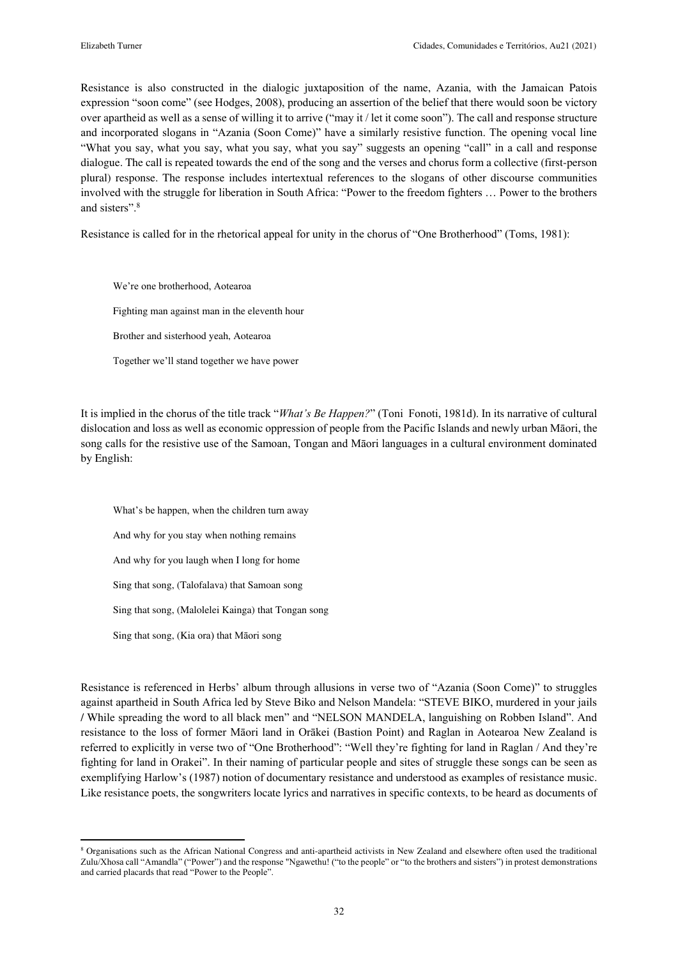$\overline{a}$ 

Resistance is also constructed in the dialogic juxtaposition of the name, Azania, with the Jamaican Patois expression "soon come" (see Hodges, 2008), producing an assertion of the belief that there would soon be victory over apartheid as well as a sense of willing it to arrive ("may it / let it come soon"). The call and response structure and incorporated slogans in "Azania (Soon Come)" have a similarly resistive function. The opening vocal line "What you say, what you say, what you say, what you say" suggests an opening "call" in a call and response dialogue. The call is repeated towards the end of the song and the verses and chorus form a collective (first-person plural) response. The response includes intertextual references to the slogans of other discourse communities involved with the struggle for liberation in South Africa: "Power to the freedom fighters … Power to the brothers and sisters".<sup>8</sup>

Resistance is called for in the rhetorical appeal for unity in the chorus of "One Brotherhood" (Toms, 1981):

We're one brotherhood, Aotearoa Fighting man against man in the eleventh hour Brother and sisterhood yeah, Aotearoa Together we'll stand together we have power

It is implied in the chorus of the title track "*What's Be Happen?*" (Toni Fonoti, 1981d). In its narrative of cultural dislocation and loss as well as economic oppression of people from the Pacific Islands and newly urban Māori, the song calls for the resistive use of the Samoan, Tongan and Māori languages in a cultural environment dominated by English:

What's be happen, when the children turn away And why for you stay when nothing remains And why for you laugh when I long for home Sing that song, (Talofalava) that Samoan song Sing that song, (Malolelei Kainga) that Tongan song Sing that song, (Kia ora) that Māori song

Resistance is referenced in Herbs' album through allusions in verse two of "Azania (Soon Come)" to struggles against apartheid in South Africa led by Steve Biko and Nelson Mandela: "STEVE BIKO, murdered in your jails / While spreading the word to all black men" and "NELSON MANDELA, languishing on Robben Island". And resistance to the loss of former Māori land in Orākei (Bastion Point) and Raglan in Aotearoa New Zealand is referred to explicitly in verse two of "One Brotherhood": "Well they're fighting for land in Raglan / And they're fighting for land in Orakei". In their naming of particular people and sites of struggle these songs can be seen as exemplifying Harlow's (1987) notion of documentary resistance and understood as examples of resistance music. Like resistance poets, the songwriters locate lyrics and narratives in specific contexts, to be heard as documents of

<sup>&</sup>lt;sup>8</sup> Organisations such as the African National Congress and anti-apartheid activists in New Zealand and elsewhere often used the traditional Zulu/Xhosa call "Amandla" ("Power") and the response "Ngawethu! ("to the people" or "to the brothers and sisters") in protest demonstrations and carried placards that read "Power to the People".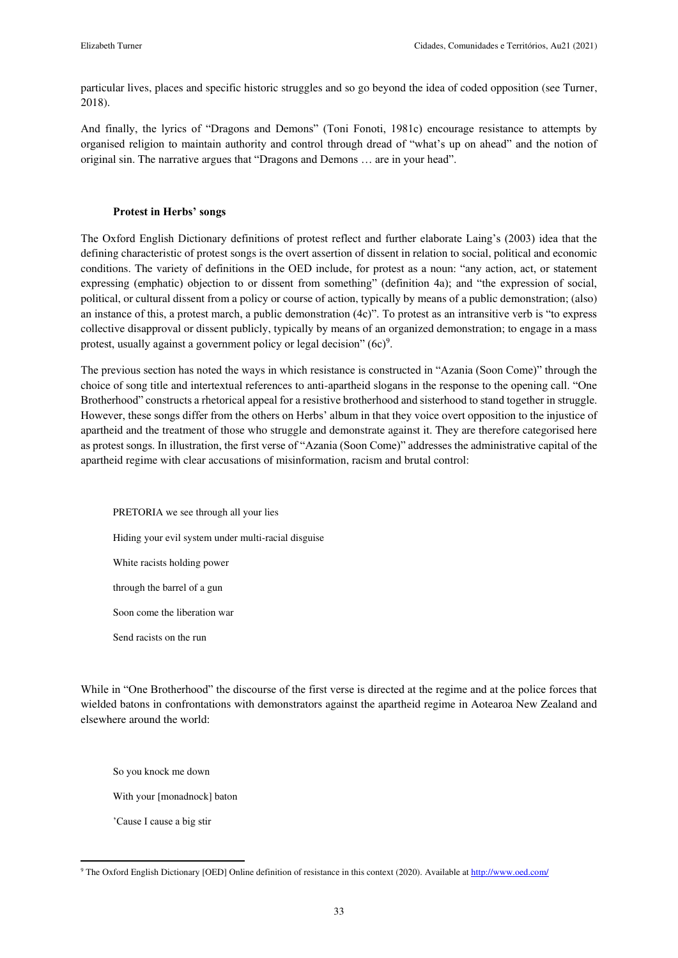particular lives, places and specific historic struggles and so go beyond the idea of coded opposition (see Turner, 2018).

And finally, the lyrics of "Dragons and Demons" (Toni Fonoti, 1981c) encourage resistance to attempts by organised religion to maintain authority and control through dread of "what's up on ahead" and the notion of original sin. The narrative argues that "Dragons and Demons … are in your head".

### **Protest in Herbs' songs**

The Oxford English Dictionary definitions of protest reflect and further elaborate Laing's (2003) idea that the defining characteristic of protest songs is the overt assertion of dissent in relation to social, political and economic conditions. The variety of definitions in the OED include, for protest as a noun: "any action, act, or statement expressing (emphatic) objection to or dissent from something" (definition 4a); and "the expression of social, political, or cultural dissent from a policy or course of action, typically by means of a public demonstration; (also) an instance of this, a protest march, a public demonstration (4c)". To protest as an intransitive verb is "to express collective disapproval or dissent publicly, typically by means of an organized demonstration; to engage in a mass protest, usually against a government policy or legal decision"  $(6c)^9$ .

The previous section has noted the ways in which resistance is constructed in "Azania (Soon Come)" through the choice of song title and intertextual references to anti-apartheid slogans in the response to the opening call. "One Brotherhood" constructs a rhetorical appeal for a resistive brotherhood and sisterhood to stand together in struggle. However, these songs differ from the others on Herbs' album in that they voice overt opposition to the injustice of apartheid and the treatment of those who struggle and demonstrate against it. They are therefore categorised here as protest songs. In illustration, the first verse of "Azania (Soon Come)" addresses the administrative capital of the apartheid regime with clear accusations of misinformation, racism and brutal control:

PRETORIA we see through all your lies Hiding your evil system under multi-racial disguise White racists holding power through the barrel of a gun Soon come the liberation war

While in "One Brotherhood" the discourse of the first verse is directed at the regime and at the police forces that wielded batons in confrontations with demonstrators against the apartheid regime in Aotearoa New Zealand and elsewhere around the world:

So you knock me down

Send racists on the run

With your [monadnock] baton

'Cause I cause a big stir

 $\overline{a}$ 

<sup>&</sup>lt;sup>9</sup> The Oxford English Dictionary [OED] Online definition of resistance in this context (2020). Available at<http://www.oed.com/>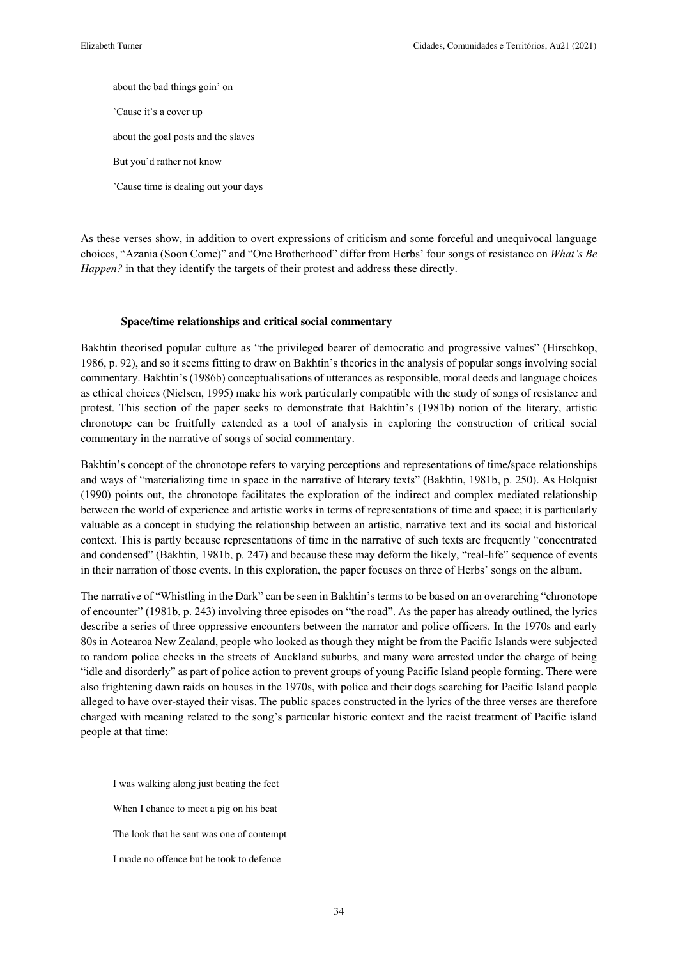about the bad things goin' on 'Cause it's a cover up about the goal posts and the slaves But you'd rather not know

'Cause time is dealing out your days

As these verses show, in addition to overt expressions of criticism and some forceful and unequivocal language choices, "Azania (Soon Come)" and "One Brotherhood" differ from Herbs' four songs of resistance on *What's Be Happen?* in that they identify the targets of their protest and address these directly.

#### **Space/time relationships and critical social commentary**

Bakhtin theorised popular culture as "the privileged bearer of democratic and progressive values" (Hirschkop, 1986, p. 92), and so it seems fitting to draw on Bakhtin's theories in the analysis of popular songs involving social commentary. Bakhtin's (1986b) conceptualisations of utterances as responsible, moral deeds and language choices as ethical choices (Nielsen, 1995) make his work particularly compatible with the study of songs of resistance and protest. This section of the paper seeks to demonstrate that Bakhtin's (1981b) notion of the literary, artistic chronotope can be fruitfully extended as a tool of analysis in exploring the construction of critical social commentary in the narrative of songs of social commentary.

Bakhtin's concept of the chronotope refers to varying perceptions and representations of time/space relationships and ways of "materializing time in space in the narrative of literary texts" (Bakhtin, 1981b, p. 250). As Holquist (1990) points out, the chronotope facilitates the exploration of the indirect and complex mediated relationship between the world of experience and artistic works in terms of representations of time and space; it is particularly valuable as a concept in studying the relationship between an artistic, narrative text and its social and historical context. This is partly because representations of time in the narrative of such texts are frequently "concentrated and condensed" (Bakhtin, 1981b, p. 247) and because these may deform the likely, "real-life" sequence of events in their narration of those events. In this exploration, the paper focuses on three of Herbs' songs on the album.

The narrative of "Whistling in the Dark" can be seen in Bakhtin's terms to be based on an overarching "chronotope of encounter" (1981b, p. 243) involving three episodes on "the road". As the paper has already outlined, the lyrics describe a series of three oppressive encounters between the narrator and police officers. In the 1970s and early 80s in Aotearoa New Zealand, people who looked as though they might be from the Pacific Islands were subjected to random police checks in the streets of Auckland suburbs, and many were arrested under the charge of being "idle and disorderly" as part of police action to prevent groups of young Pacific Island people forming. There were also frightening dawn raids on houses in the 1970s, with police and their dogs searching for Pacific Island people alleged to have over-stayed their visas. The public spaces constructed in the lyrics of the three verses are therefore charged with meaning related to the song's particular historic context and the racist treatment of Pacific island people at that time:

I was walking along just beating the feet When I chance to meet a pig on his beat The look that he sent was one of contempt I made no offence but he took to defence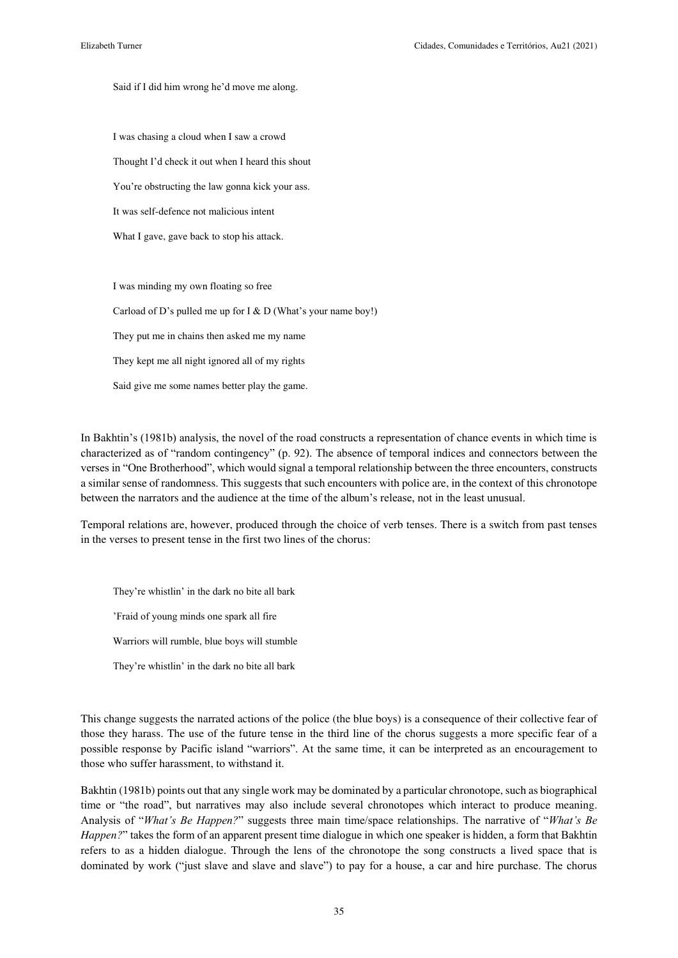Said if I did him wrong he'd move me along.

I was chasing a cloud when I saw a crowd Thought I'd check it out when I heard this shout You're obstructing the law gonna kick your ass. It was self-defence not malicious intent What I gave, gave back to stop his attack.

I was minding my own floating so free Carload of D's pulled me up for I & D (What's your name boy!) They put me in chains then asked me my name They kept me all night ignored all of my rights Said give me some names better play the game.

In Bakhtin's (1981b) analysis, the novel of the road constructs a representation of chance events in which time is characterized as of "random contingency" (p. 92). The absence of temporal indices and connectors between the verses in "One Brotherhood", which would signal a temporal relationship between the three encounters, constructs a similar sense of randomness. This suggests that such encounters with police are, in the context of this chronotope between the narrators and the audience at the time of the album's release, not in the least unusual.

Temporal relations are, however, produced through the choice of verb tenses. There is a switch from past tenses in the verses to present tense in the first two lines of the chorus:

They're whistlin' in the dark no bite all bark 'Fraid of young minds one spark all fire Warriors will rumble, blue boys will stumble They're whistlin' in the dark no bite all bark

This change suggests the narrated actions of the police (the blue boys) is a consequence of their collective fear of those they harass. The use of the future tense in the third line of the chorus suggests a more specific fear of a possible response by Pacific island "warriors". At the same time, it can be interpreted as an encouragement to those who suffer harassment, to withstand it.

Bakhtin (1981b) points out that any single work may be dominated by a particular chronotope, such as biographical time or "the road", but narratives may also include several chronotopes which interact to produce meaning. Analysis of "*What's Be Happen?*" suggests three main time/space relationships. The narrative of "*What's Be Happen?*" takes the form of an apparent present time dialogue in which one speaker is hidden, a form that Bakhtin refers to as a hidden dialogue. Through the lens of the chronotope the song constructs a lived space that is dominated by work ("just slave and slave and slave") to pay for a house, a car and hire purchase. The chorus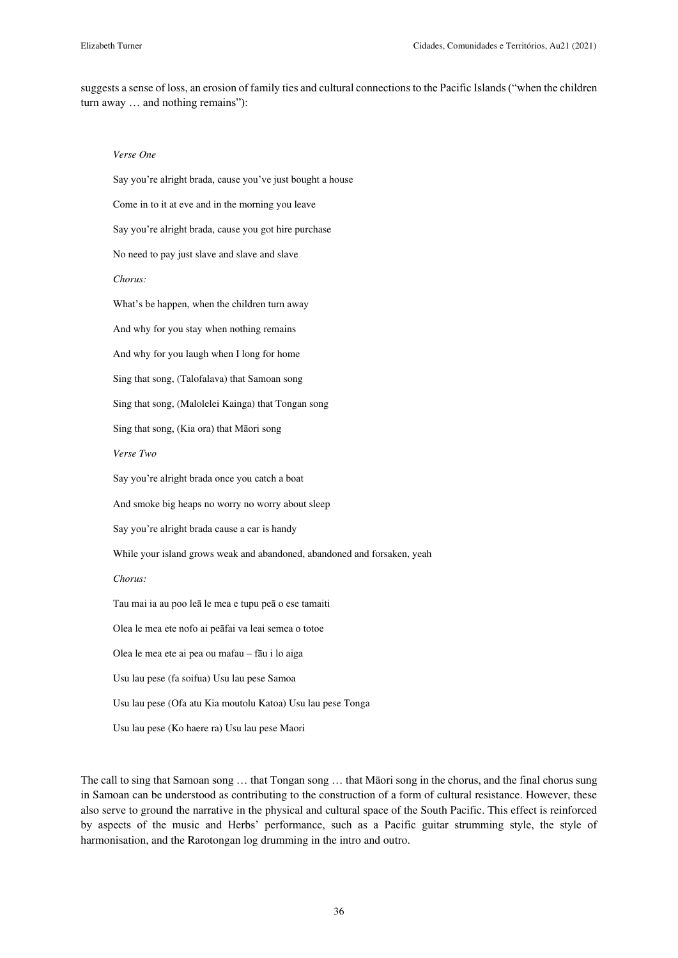suggests a sense of loss, an erosion of family ties and cultural connections to the Pacific Islands ("when the children turn away … and nothing remains"):

#### *Verse One*

Say you're alright brada, cause you've just bought a house Come in to it at eve and in the morning you leave Say you're alright brada, cause you got hire purchase No need to pay just slave and slave and slave *Chorus:*  What's be happen, when the children turn away And why for you stay when nothing remains And why for you laugh when I long for home Sing that song, (Talofalava) that Samoan song Sing that song, (Malolelei Kainga) that Tongan song Sing that song, (Kia ora) that Māori song *Verse Two*  Say you're alright brada once you catch a boat And smoke big heaps no worry no worry about sleep Say you're alright brada cause a car is handy While your island grows weak and abandoned, abandoned and forsaken, yeah *Chorus:*  Tau mai ia au poo leā le mea e tupu peā o ese tamaiti Olea le mea ete nofo ai peāfai va leai semea o totoe Olea le mea ete ai pea ou mafau – fāu i lo aiga Usu lau pese (fa soifua) Usu lau pese Samoa Usu lau pese (Ofa atu Kia moutolu Katoa) Usu lau pese Tonga Usu lau pese (Ko haere ra) Usu lau pese Maori

The call to sing that Samoan song … that Tongan song … that Māori song in the chorus, and the final chorus sung in Samoan can be understood as contributing to the construction of a form of cultural resistance. However, these also serve to ground the narrative in the physical and cultural space of the South Pacific. This effect is reinforced by aspects of the music and Herbs' performance, such as a Pacific guitar strumming style, the style of harmonisation, and the Rarotongan log drumming in the intro and outro.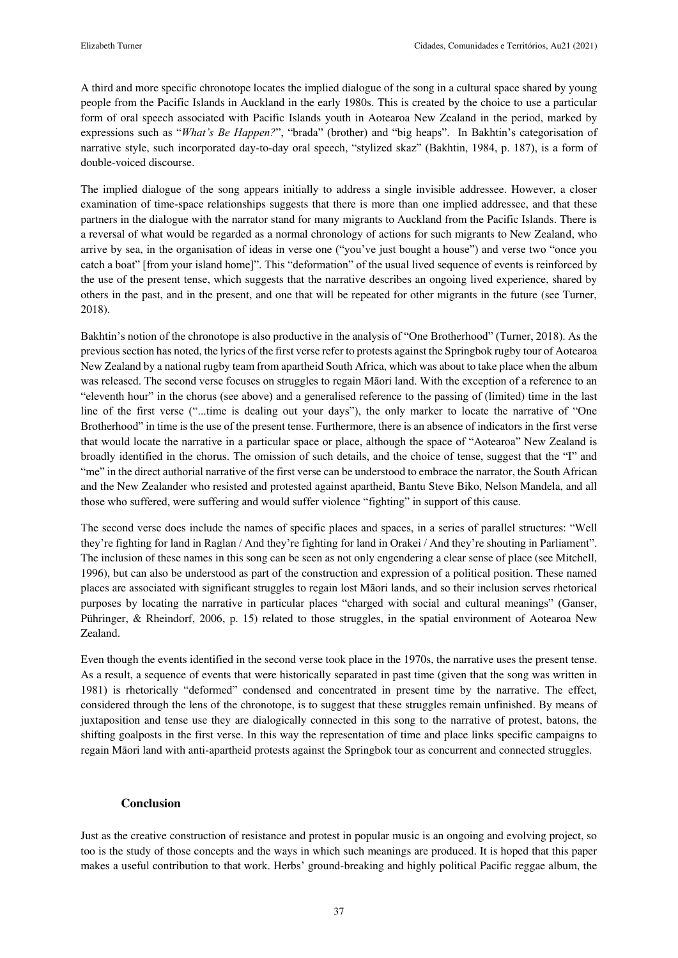A third and more specific chronotope locates the implied dialogue of the song in a cultural space shared by young people from the Pacific Islands in Auckland in the early 1980s. This is created by the choice to use a particular form of oral speech associated with Pacific Islands youth in Aotearoa New Zealand in the period, marked by expressions such as "*What's Be Happen?*", "brada" (brother) and "big heaps". In Bakhtin's categorisation of narrative style, such incorporated day-to-day oral speech, "stylized skaz" (Bakhtin, 1984, p. 187), is a form of double-voiced discourse.

The implied dialogue of the song appears initially to address a single invisible addressee. However, a closer examination of time-space relationships suggests that there is more than one implied addressee, and that these partners in the dialogue with the narrator stand for many migrants to Auckland from the Pacific Islands. There is a reversal of what would be regarded as a normal chronology of actions for such migrants to New Zealand, who arrive by sea, in the organisation of ideas in verse one ("you've just bought a house") and verse two "once you catch a boat" [from your island home]". This "deformation" of the usual lived sequence of events is reinforced by the use of the present tense, which suggests that the narrative describes an ongoing lived experience, shared by others in the past, and in the present, and one that will be repeated for other migrants in the future (see Turner, 2018).

Bakhtin's notion of the chronotope is also productive in the analysis of "One Brotherhood" (Turner, 2018). As the previous section has noted, the lyrics of the first verse refer to protests against the Springbok rugby tour of Aotearoa New Zealand by a national rugby team from apartheid South Africa, which was about to take place when the album was released. The second verse focuses on struggles to regain Māori land. With the exception of a reference to an "eleventh hour" in the chorus (see above) and a generalised reference to the passing of (limited) time in the last line of the first verse ("...time is dealing out your days"), the only marker to locate the narrative of "One Brotherhood" in time is the use of the present tense. Furthermore, there is an absence of indicators in the first verse that would locate the narrative in a particular space or place, although the space of "Aotearoa" New Zealand is broadly identified in the chorus. The omission of such details, and the choice of tense, suggest that the "I" and "me" in the direct authorial narrative of the first verse can be understood to embrace the narrator, the South African and the New Zealander who resisted and protested against apartheid, Bantu Steve Biko, Nelson Mandela, and all those who suffered, were suffering and would suffer violence "fighting" in support of this cause.

The second verse does include the names of specific places and spaces, in a series of parallel structures: "Well they're fighting for land in Raglan / And they're fighting for land in Orakei / And they're shouting in Parliament". The inclusion of these names in this song can be seen as not only engendering a clear sense of place (see Mitchell, 1996), but can also be understood as part of the construction and expression of a political position. These named places are associated with significant struggles to regain lost Māori lands, and so their inclusion serves rhetorical purposes by locating the narrative in particular places "charged with social and cultural meanings" (Ganser, Pühringer, & Rheindorf, 2006, p. 15) related to those struggles, in the spatial environment of Aotearoa New Zealand.

Even though the events identified in the second verse took place in the 1970s, the narrative uses the present tense. As a result, a sequence of events that were historically separated in past time (given that the song was written in 1981) is rhetorically "deformed" condensed and concentrated in present time by the narrative. The effect, considered through the lens of the chronotope, is to suggest that these struggles remain unfinished. By means of juxtaposition and tense use they are dialogically connected in this song to the narrative of protest, batons, the shifting goalposts in the first verse. In this way the representation of time and place links specific campaigns to regain Māori land with anti-apartheid protests against the Springbok tour as concurrent and connected struggles.

## **Conclusion**

Just as the creative construction of resistance and protest in popular music is an ongoing and evolving project, so too is the study of those concepts and the ways in which such meanings are produced. It is hoped that this paper makes a useful contribution to that work. Herbs' ground-breaking and highly political Pacific reggae album, the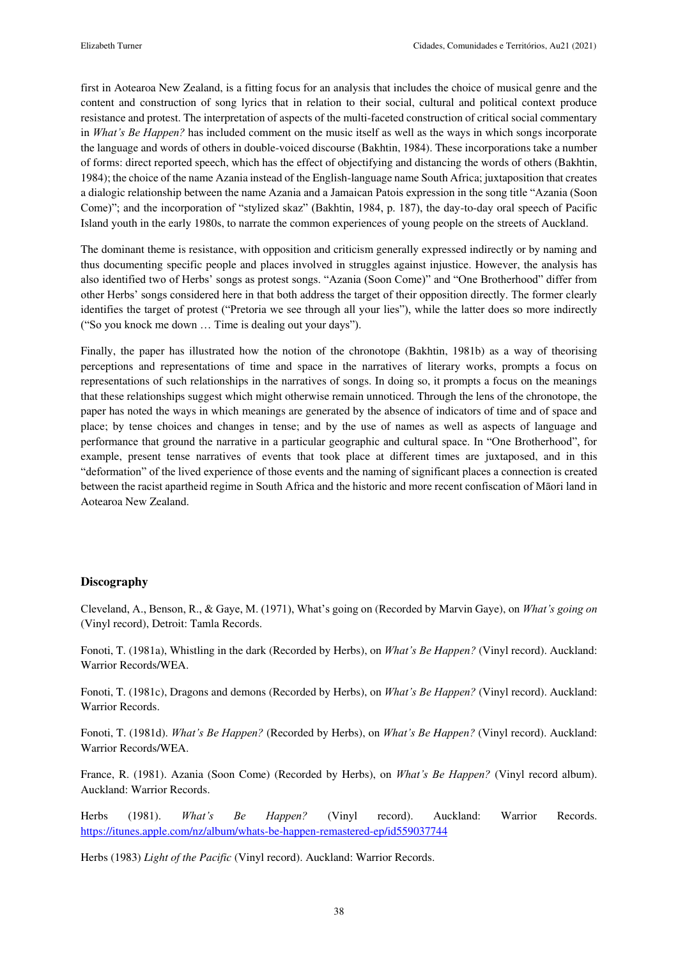first in Aotearoa New Zealand, is a fitting focus for an analysis that includes the choice of musical genre and the content and construction of song lyrics that in relation to their social, cultural and political context produce resistance and protest. The interpretation of aspects of the multi-faceted construction of critical social commentary in *What's Be Happen?* has included comment on the music itself as well as the ways in which songs incorporate the language and words of others in double-voiced discourse (Bakhtin, 1984). These incorporations take a number of forms: direct reported speech, which has the effect of objectifying and distancing the words of others (Bakhtin, 1984); the choice of the name Azania instead of the English-language name South Africa; juxtaposition that creates a dialogic relationship between the name Azania and a Jamaican Patois expression in the song title "Azania (Soon Come)"; and the incorporation of "stylized skaz" (Bakhtin, 1984, p. 187), the day-to-day oral speech of Pacific Island youth in the early 1980s, to narrate the common experiences of young people on the streets of Auckland.

The dominant theme is resistance, with opposition and criticism generally expressed indirectly or by naming and thus documenting specific people and places involved in struggles against injustice. However, the analysis has also identified two of Herbs' songs as protest songs. "Azania (Soon Come)" and "One Brotherhood" differ from other Herbs' songs considered here in that both address the target of their opposition directly. The former clearly identifies the target of protest ("Pretoria we see through all your lies"), while the latter does so more indirectly ("So you knock me down … Time is dealing out your days").

Finally, the paper has illustrated how the notion of the chronotope (Bakhtin, 1981b) as a way of theorising perceptions and representations of time and space in the narratives of literary works, prompts a focus on representations of such relationships in the narratives of songs. In doing so, it prompts a focus on the meanings that these relationships suggest which might otherwise remain unnoticed. Through the lens of the chronotope, the paper has noted the ways in which meanings are generated by the absence of indicators of time and of space and place; by tense choices and changes in tense; and by the use of names as well as aspects of language and performance that ground the narrative in a particular geographic and cultural space. In "One Brotherhood", for example, present tense narratives of events that took place at different times are juxtaposed, and in this "deformation" of the lived experience of those events and the naming of significant places a connection is created between the racist apartheid regime in South Africa and the historic and more recent confiscation of Māori land in Aotearoa New Zealand.

## **Discography**

Cleveland, A., Benson, R., & Gaye, M. (1971), What's going on (Recorded by Marvin Gaye), on *What's going on* (Vinyl record), Detroit: Tamla Records.

Fonoti, T. (1981a), Whistling in the dark (Recorded by Herbs), on *What's Be Happen?* (Vinyl record). Auckland: Warrior Records/WEA.

Fonoti, T. (1981c), Dragons and demons (Recorded by Herbs), on *What's Be Happen?* (Vinyl record). Auckland: Warrior Records.

Fonoti, T. (1981d). *What's Be Happen?* (Recorded by Herbs), on *What's Be Happen?* (Vinyl record). Auckland: Warrior Records/WEA.

France, R. (1981). Azania (Soon Come) (Recorded by Herbs), on *What's Be Happen?* (Vinyl record album). Auckland: Warrior Records.

Herbs (1981). *What's Be Happen?* (Vinyl record). Auckland: Warrior Records. <https://itunes.apple.com/nz/album/whats-be-happen-remastered-ep/id559037744>

Herbs (1983) *Light of the Pacific* (Vinyl record). Auckland: Warrior Records.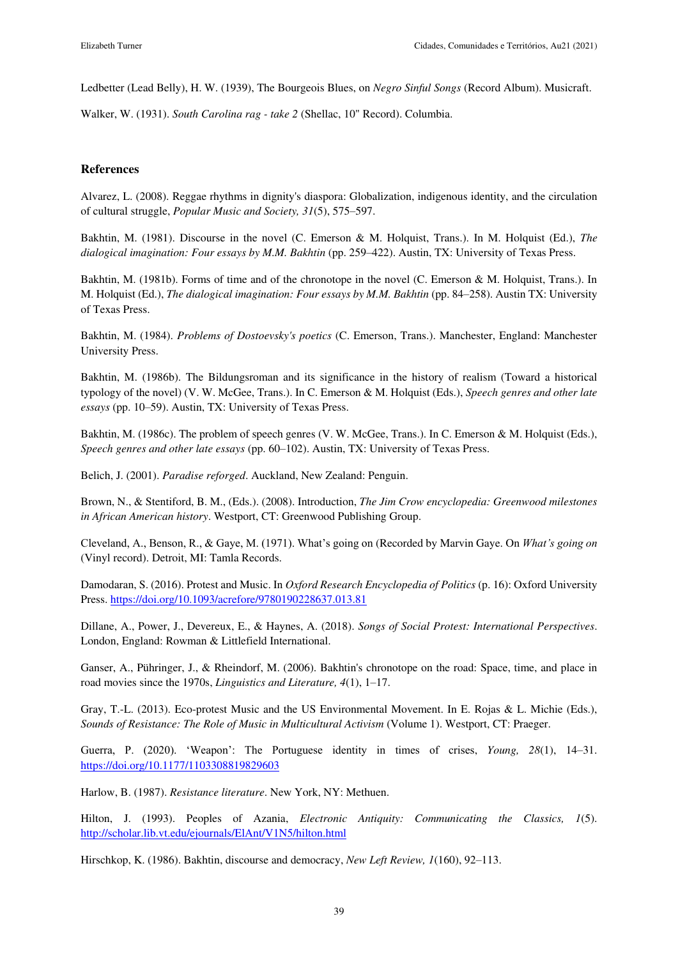Ledbetter (Lead Belly), H. W. (1939), The Bourgeois Blues, on *Negro Sinful Songs* (Record Album). Musicraft.

Walker, W. (1931). *South Carolina rag - take 2* (Shellac, 10" Record). Columbia.

## **References**

Alvarez, L. (2008). Reggae rhythms in dignity's diaspora: Globalization, indigenous identity, and the circulation of cultural struggle, *Popular Music and Society, 31*(5), 575–597.

Bakhtin, M. (1981). Discourse in the novel (C. Emerson & M. Holquist, Trans.). In M. Holquist (Ed.), *The dialogical imagination: Four essays by M.M. Bakhtin* (pp. 259–422). Austin, TX: University of Texas Press.

Bakhtin, M. (1981b). Forms of time and of the chronotope in the novel (C. Emerson & M. Holquist, Trans.). In M. Holquist (Ed.), *The dialogical imagination: Four essays by M.M. Bakhtin* (pp. 84–258). Austin TX: University of Texas Press.

Bakhtin, M. (1984). *Problems of Dostoevsky's poetics* (C. Emerson, Trans.). Manchester, England: Manchester University Press.

Bakhtin, M. (1986b). The Bildungsroman and its significance in the history of realism (Toward a historical typology of the novel) (V. W. McGee, Trans.). In C. Emerson & M. Holquist (Eds.), *Speech genres and other late essays* (pp. 10–59). Austin, TX: University of Texas Press.

Bakhtin, M. (1986c). The problem of speech genres (V. W. McGee, Trans.). In C. Emerson & M. Holquist (Eds.), *Speech genres and other late essays* (pp. 60–102). Austin, TX: University of Texas Press.

Belich, J. (2001). *Paradise reforged*. Auckland, New Zealand: Penguin.

Brown, N., & Stentiford, B. M., (Eds.). (2008). Introduction, *The Jim Crow encyclopedia: Greenwood milestones in African American history*. Westport, CT: Greenwood Publishing Group.

Cleveland, A., Benson, R., & Gaye, M. (1971). What's going on (Recorded by Marvin Gaye. On *What's going on* (Vinyl record). Detroit, MI: Tamla Records.

Damodaran, S. (2016). Protest and Music. In *Oxford Research Encyclopedia of Politics* (p. 16): Oxford University Press.<https://doi.org/10.1093/acrefore/9780190228637.013.81>

Dillane, A., Power, J., Devereux, E., & Haynes, A. (2018). *Songs of Social Protest: International Perspectives*. London, England: Rowman & Littlefield International.

Ganser, A., Pühringer, J., & Rheindorf, M. (2006). Bakhtin's chronotope on the road: Space, time, and place in road movies since the 1970s, *Linguistics and Literature, 4*(1), 1–17.

Gray, T.-L. (2013). Eco-protest Music and the US Environmental Movement. In E. Rojas & L. Michie (Eds.), *Sounds of Resistance: The Role of Music in Multicultural Activism* (Volume 1). Westport, CT: Praeger.

Guerra, P. (2020). 'Weapon': The Portuguese identity in times of crises, *Young, 28*(1), 14–31. <https://doi.org/10.1177/1103308819829603>

Harlow, B. (1987). *Resistance literature*. New York, NY: Methuen.

Hilton, J. (1993). Peoples of Azania, *Electronic Antiquity: Communicating the Classics, 1*(5). <http://scholar.lib.vt.edu/ejournals/ElAnt/V1N5/hilton.html>

Hirschkop, K. (1986). Bakhtin, discourse and democracy, *New Left Review, 1*(160), 92–113.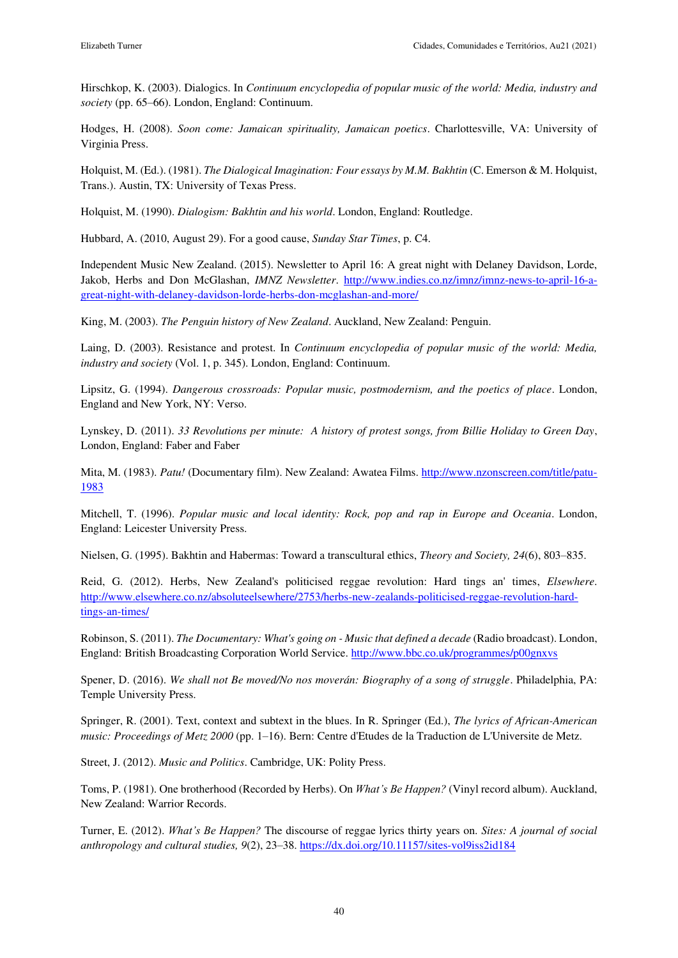Hirschkop, K. (2003). Dialogics. In *Continuum encyclopedia of popular music of the world: Media, industry and society* (pp. 65–66). London, England: Continuum.

Hodges, H. (2008). *Soon come: Jamaican spirituality, Jamaican poetics*. Charlottesville, VA: University of Virginia Press.

Holquist, M. (Ed.). (1981). *The Dialogical Imagination: Four essays by M.M. Bakhtin* (C. Emerson & M. Holquist, Trans.). Austin, TX: University of Texas Press.

Holquist, M. (1990). *Dialogism: Bakhtin and his world*. London, England: Routledge.

Hubbard, A. (2010, August 29). For a good cause, *Sunday Star Times*, p. C4.

Independent Music New Zealand. (2015). Newsletter to April 16: A great night with Delaney Davidson, Lorde, Jakob, Herbs and Don McGlashan, *IMNZ Newsletter*. [http://www.indies.co.nz/imnz/imnz-news-to-april-16-a](http://www.indies.co.nz/imnz/imnz-news-to-april-16-a-great-night-with-delaney-davidson-lorde-herbs-don-mcglashan-and-more/)[great-night-with-delaney-davidson-lorde-herbs-don-mcglashan-and-more/](http://www.indies.co.nz/imnz/imnz-news-to-april-16-a-great-night-with-delaney-davidson-lorde-herbs-don-mcglashan-and-more/) 

King, M. (2003). *The Penguin history of New Zealand*. Auckland, New Zealand: Penguin.

Laing, D. (2003). Resistance and protest. In *Continuum encyclopedia of popular music of the world: Media, industry and society* (Vol. 1, p. 345). London, England: Continuum.

Lipsitz, G. (1994). *Dangerous crossroads: Popular music, postmodernism, and the poetics of place*. London, England and New York, NY: Verso.

Lynskey, D. (2011). *33 Revolutions per minute: A history of protest songs, from Billie Holiday to Green Day*, London, England: Faber and Faber

Mita, M. (1983). *Patu!* (Documentary film). New Zealand: Awatea Films. [http://www.nzonscreen.com/title/patu-](http://www.nzonscreen.com/title/patu-1983)[1983](http://www.nzonscreen.com/title/patu-1983) 

Mitchell, T. (1996). *Popular music and local identity: Rock, pop and rap in Europe and Oceania*. London, England: Leicester University Press.

Nielsen, G. (1995). Bakhtin and Habermas: Toward a transcultural ethics, *Theory and Society, 24*(6), 803–835.

Reid, G. (2012). Herbs, New Zealand's politicised reggae revolution: Hard tings an' times, *Elsewhere*. [http://www.elsewhere.co.nz/absoluteelsewhere/2753/herbs-new-zealands-politicised-reggae-revolution-hard](http://www.elsewhere.co.nz/absoluteelsewhere/2753/herbs-new-zealands-politicised-reggae-revolution-hard-tings-an-times/)[tings-an-times/](http://www.elsewhere.co.nz/absoluteelsewhere/2753/herbs-new-zealands-politicised-reggae-revolution-hard-tings-an-times/) 

Robinson, S. (2011). *The Documentary: What's going on - Music that defined a decade* (Radio broadcast). London, England: British Broadcasting Corporation World Service.<http://www.bbc.co.uk/programmes/p00gnxvs>

Spener, D. (2016). *We shall not Be moved/No nos moverán: Biography of a song of struggle*. Philadelphia, PA: Temple University Press.

Springer, R. (2001). Text, context and subtext in the blues. In R. Springer (Ed.), *The lyrics of African-American music: Proceedings of Metz 2000* (pp. 1–16). Bern: Centre d'Etudes de la Traduction de L'Universite de Metz.

Street, J. (2012). *Music and Politics*. Cambridge, UK: Polity Press.

Toms, P. (1981). One brotherhood (Recorded by Herbs). On *What's Be Happen?* (Vinyl record album). Auckland, New Zealand: Warrior Records.

Turner, E. (2012). *What's Be Happen?* The discourse of reggae lyrics thirty years on. *Sites: A journal of social anthropology and cultural studies, 9*(2), 23–38.<https://dx.doi.org/10.11157/sites-vol9iss2id184>